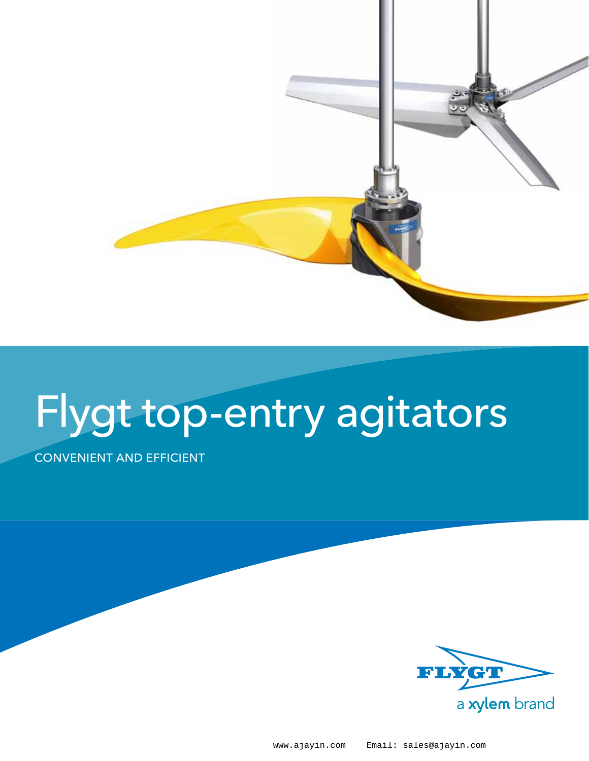

# Flygt top-entry agitators

#### Convenient and efficient



www.ajayin.com Email: sales@ajayin.com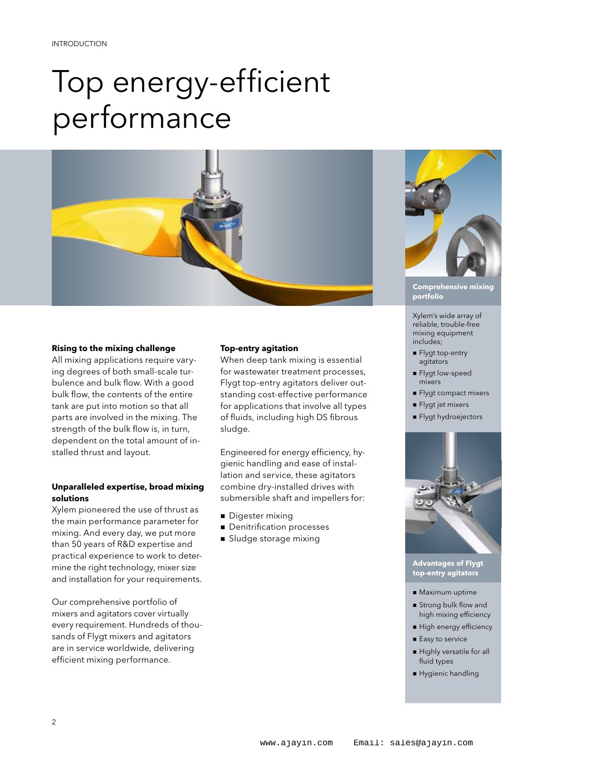## Top energy-efficient performance



#### **Rising to the mixing challenge**

All mixing applications require varying degrees of both small-scale turbulence and bulk flow. With a good bulk flow, the contents of the entire tank are put into motion so that all parts are involved in the mixing. The strength of the bulk flow is, in turn, dependent on the total amount of installed thrust and layout.

#### **Unparalleled expertise, broad mixing solutions**

Xylem pioneered the use of thrust as the main performance parameter for mixing. And every day, we put more than 50 years of R&D expertise and practical experience to work to determine the right technology, mixer size and installation for your requirements.

Our comprehensive portfolio of mixers and agitators cover virtually every requirement. Hundreds of thousands of Flygt mixers and agitators are in service worldwide, delivering efficient mixing performance.

#### **Top-entry agitation**

When deep tank mixing is essential for wastewater treatment processes, Flygt top-entry agitators deliver outstanding cost-effective performance for applications that involve all types of fluids, including high DS fibrous sludge.

Engineered for energy efficiency, hygienic handling and ease of installation and service, these agitators combine dry-installed drives with submersible shaft and impellers for:

- **Digester mixing**
- **n** Denitrification processes
- **B** Sludge storage mixing



**Comprehensive mixing portfolio**

Xylem's wide array of reliable, trouble-free mixing equipment includes;

- **Flygt top-entry** agitators
- **Flygt low-speed** mixers
- Flygt compact mixers
- n Flygt jet mixers
- n Flygt hydroejectors



**Advantages of Flygt top-entry agitators**

- **n** Maximum uptime
- **n** Strong bulk flow and high mixing efficiency
- High energy efficiency
- $\blacksquare$  Easy to service
- n Highly versatile for all fluid types
- n Hygienic handling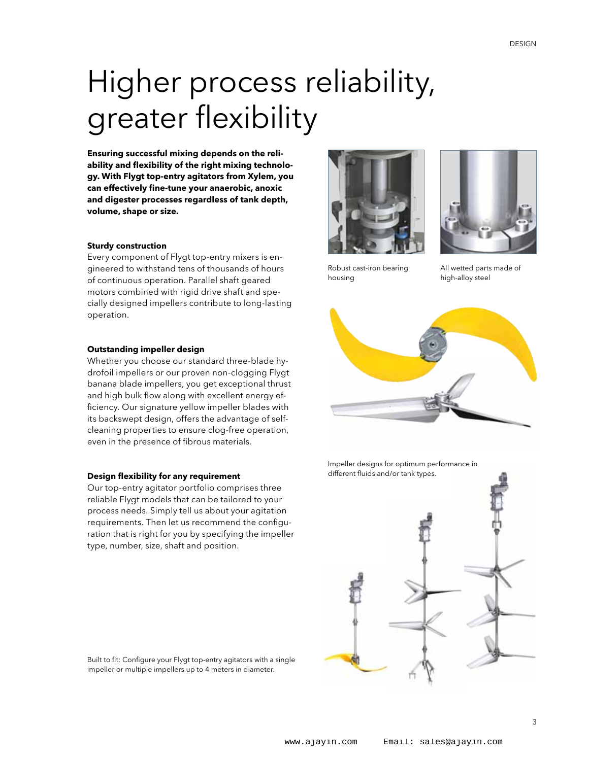## Higher process reliability, greater flexibility

**Ensuring successful mixing depends on the reliability and flexibility of the right mixing technology. With Flygt top-entry agitators from Xylem, you can effectively fine-tune your anaerobic, anoxic and digester processes regardless of tank depth, volume, shape or size.**

#### **Sturdy construction**

Every component of Flygt top-entry mixers is engineered to withstand tens of thousands of hours of continuous operation. Parallel shaft geared motors combined with rigid drive shaft and specially designed impellers contribute to long-lasting operation.

#### **Outstanding impeller design**

Whether you choose our standard three-blade hydrofoil impellers or our proven non-clogging Flygt banana blade impellers, you get exceptional thrust and high bulk flow along with excellent energy efficiency. Our signature yellow impeller blades with its backswept design, offers the advantage of selfcleaning properties to ensure clog-free operation, even in the presence of fibrous materials.

#### **Design flexibility for any requirement**

Our top-entry agitator portfolio comprises three reliable Flygt models that can be tailored to your process needs. Simply tell us about your agitation requirements. Then let us recommend the configuration that is right for you by specifying the impeller type, number, size, shaft and position.





Robust cast-iron bearing housing

All wetted parts made of high-alloy steel



Impeller designs for optimum performance in different fluids and/or tank types.



Built to fit: Configure your Flygt top-entry agitators with a single impeller or multiple impellers up to 4 meters in diameter.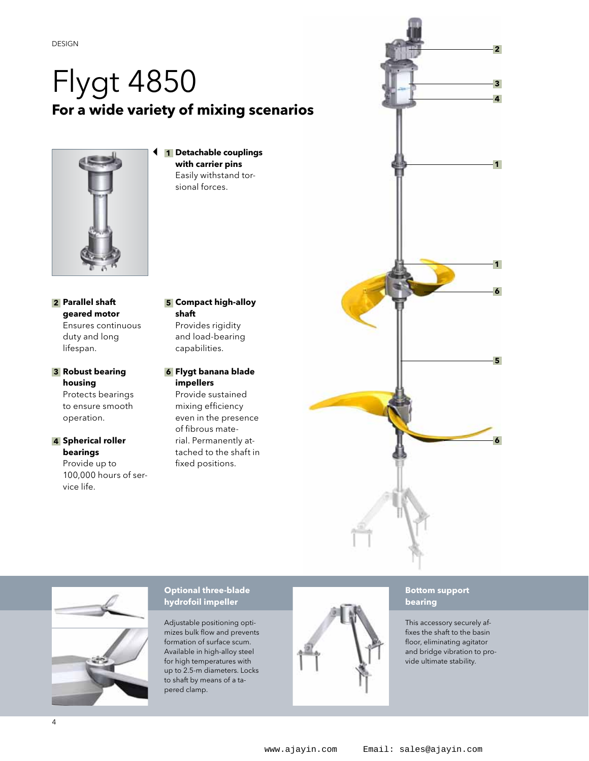### Flygt 4850 **For a wide variety of mixing scenarios**



 **Detachable couplings 1 with carrier pins** Easily withstand torsional forces.

- **Parallel shaft 2 geared motor** Ensures continuous duty and long lifespan.
- **Robust bearing 3 housing** Protects bearings to ensure smooth operation.

#### **Spherical roller 4 bearings**

Provide up to 100,000 hours of service life.

#### **Compact high-alloy 5 shaft**

Provides rigidity and load-bearing capabilities.

**Flygt banana blade 6 impellers**

Provide sustained mixing efficiency even in the presence of fibrous material. Permanently attached to the shaft in fixed positions.





#### **Optional three-blade hydrofoil impeller**

Adjustable positioning optimizes bulk flow and prevents formation of surface scum. Available in high-alloy steel for high temperatures with up to 2.5-m diameters. Locks to shaft by means of a tapered clamp.



#### **Bottom support bearing**

This accessory securely affixes the shaft to the basin floor, eliminating agitator and bridge vibration to provide ultimate stability.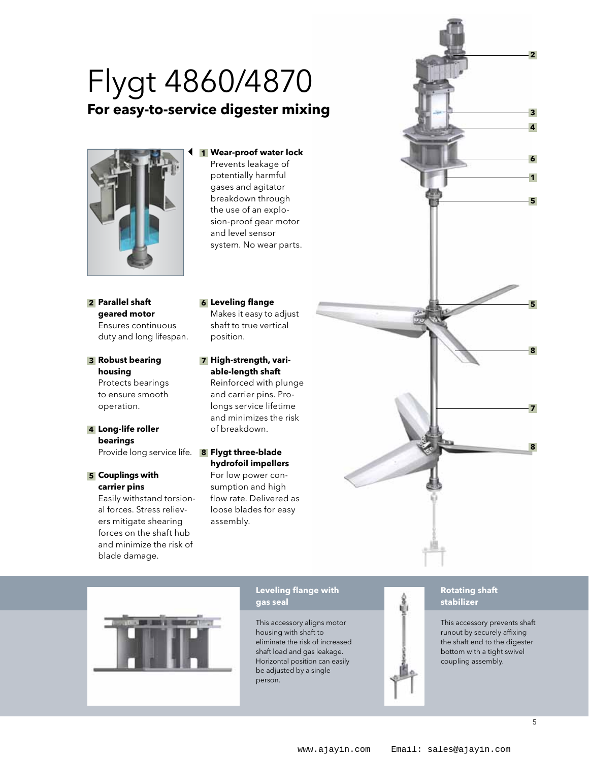### **For easy-to-service digester mixing** Flygt 4860/4870



#### **Wear-proof water lock 1**

Prevents leakage of potentially harmful gases and agitator breakdown through the use of an explosion-proof gear motor and level sensor system. No wear parts.

**Parallel shaft 2 geared motor** Ensures continuous duty and long lifespan.

**Robust bearing 3 housing** Protects bearings to ensure smooth operation.

**Long-life roller 4 bearings**

**Couplings with 5 carrier pins**

> Easily withstand torsional forces. Stress relievers mitigate shearing forces on the shaft hub and minimize the risk of blade damage.

**Leveling flange 6** Makes it easy to adjust shaft to true vertical position.

**High-strength, vari-7 able-length shaft** Reinforced with plunge

and carrier pins. Prolongs service lifetime and minimizes the risk of breakdown.

#### Provide long service life. **Flygt three-blade 8 hydrofoil impellers**

For low power consumption and high flow rate. Delivered as loose blades for easy assembly.





#### **Leveling flange with gas seal**

This accessory aligns motor housing with shaft to eliminate the risk of increased shaft load and gas leakage. Horizontal position can easily be adjusted by a single person.



#### **Rotating shaft stabilizer**

This accessory prevents shaft runout by securely affixing the shaft end to the digester bottom with a tight swivel coupling assembly.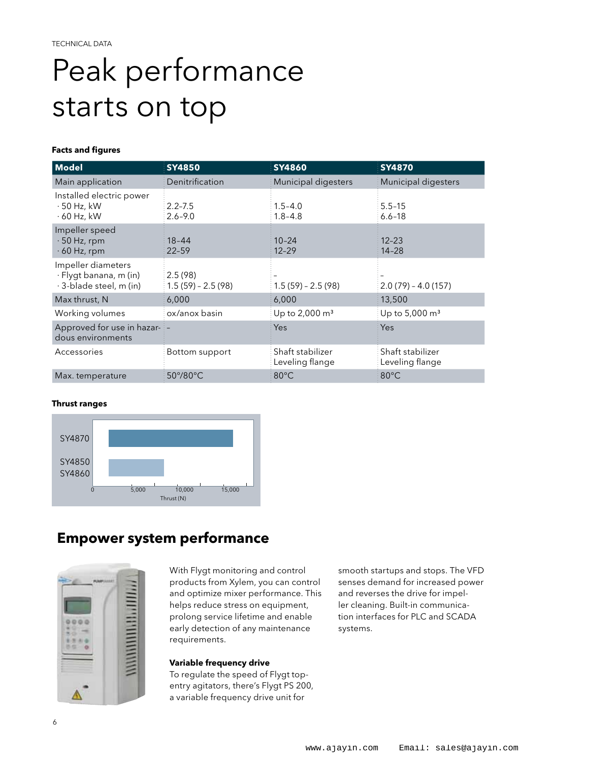## Peak performance starts on top

#### **Facts and figures**

| <b>Model</b>                                                            | <b>SY4850</b>                  | <b>SY4860</b>                       | <b>SY4870</b>                       |
|-------------------------------------------------------------------------|--------------------------------|-------------------------------------|-------------------------------------|
| Main application                                                        | Denitrification                | Municipal digesters                 | Municipal digesters                 |
| Installed electric power<br>$\cdot$ 50 Hz, kW<br>$\cdot$ 60 Hz, kW      | $2.2 - 7.5$<br>$2.6 - 9.0$     | $1.5 - 4.0$<br>$1.8 - 4.8$          | $5.5 - 15$<br>$6.6 - 18$            |
| Impeller speed<br>$\cdot$ 50 Hz, rpm<br>$\cdot$ 60 Hz, rpm              | $18 - 44$<br>$22 - 59$         | $10 - 24$<br>$12 - 29$              | $12 - 23$<br>$14 - 28$              |
| Impeller diameters<br>· Flygt banana, m (in)<br>· 3-blade steel, m (in) | 2.5(98)<br>$1.5(59) - 2.5(98)$ | $1.5(59) - 2.5(98)$                 | $2.0(79) - 4.0(157)$                |
| Max thrust, N                                                           | 6,000                          | 6,000                               | 13,500                              |
| Working volumes                                                         | ox/anox basin                  | Up to 2,000 m <sup>3</sup>          | Up to 5,000 m <sup>3</sup>          |
| Approved for use in hazar-<br>dous environments                         |                                | Yes                                 | Yes                                 |
| Accessories                                                             | Bottom support                 | Shaft stabilizer<br>Leveling flange | Shaft stabilizer<br>Leveling flange |
| Max. temperature                                                        | 50°/80°C                       | 80°C                                | 80°C                                |

#### **Thrust ranges**



#### **Empower system performance**



With Flygt monitoring and control products from Xylem, you can control and optimize mixer performance. This helps reduce stress on equipment, prolong service lifetime and enable early detection of any maintenance requirements.

#### **Variable frequency drive**

To regulate the speed of Flygt topentry agitators, there's Flygt PS 200, a variable frequency drive unit for

smooth startups and stops. The VFD senses demand for increased power and reverses the drive for impeller cleaning. Built-in communication interfaces for PLC and SCADA systems.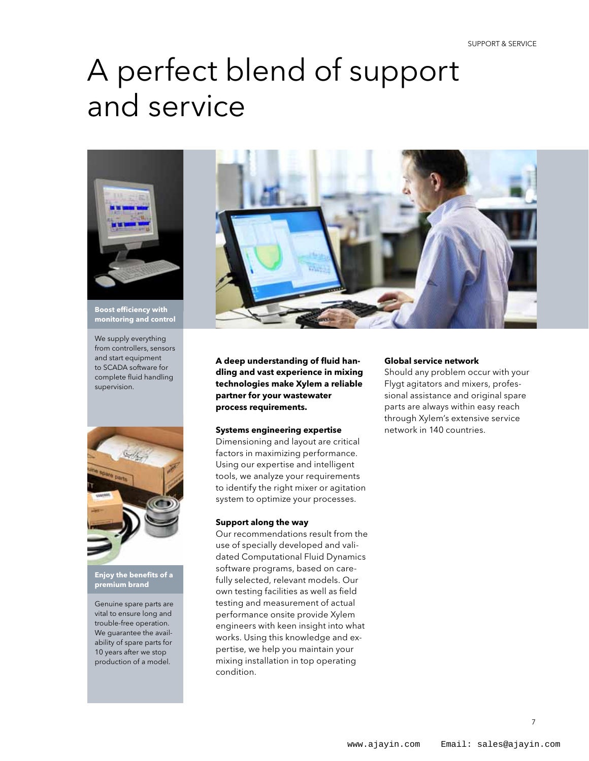### A perfect blend of support and service



**Boost efficiency with monitoring and control**

We supply everything from controllers, sensors and start equipment to SCADA software for complete fluid handling supervision.



**Enjoy the benefits of a premium brand** 

Genuine spare parts are vital to ensure long and trouble-free operation. We guarantee the availability of spare parts for 10 years after we stop production of a model.



**A deep understanding of fluid handling and vast experience in mixing technologies make Xylem a reliable partner for your wastewater process requirements.**

#### **Systems engineering expertise**

Dimensioning and layout are critical factors in maximizing performance. Using our expertise and intelligent tools, we analyze your requirements to identify the right mixer or agitation system to optimize your processes.

#### **Support along the way**

Our recommendations result from the use of specially developed and validated Computational Fluid Dynamics software programs, based on carefully selected, relevant models. Our own testing facilities as well as field testing and measurement of actual performance onsite provide Xylem engineers with keen insight into what works. Using this knowledge and expertise, we help you maintain your mixing installation in top operating condition.

#### **Global service network**

Should any problem occur with your Flygt agitators and mixers, professional assistance and original spare parts are always within easy reach through Xylem's extensive service network in 140 countries.